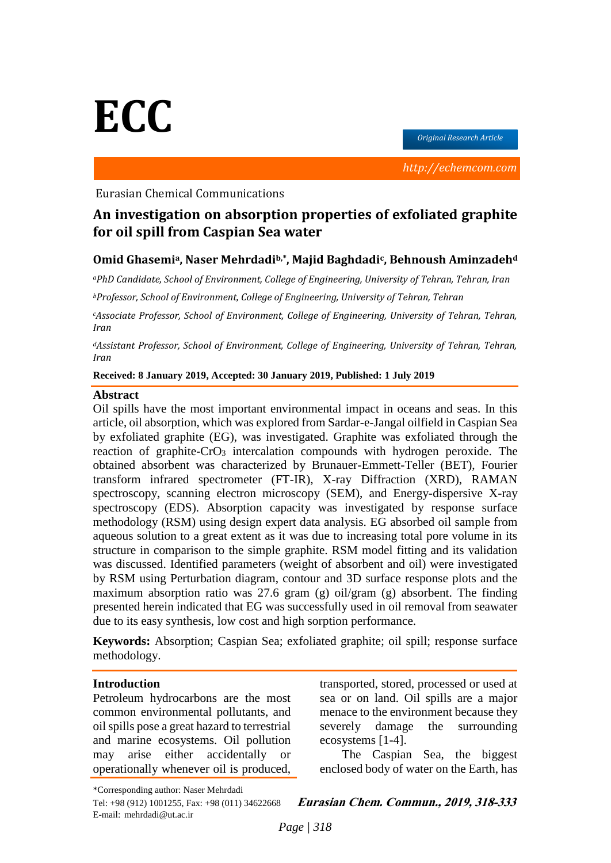# **ECC**

*Original Research Article*

*http://echemcom.com*

### Eurasian Chemical Communications

# **An investigation on absorption properties of exfoliated graphite for oil spill from Caspian Sea water**

# **Omid Ghasemia, Naser Mehrdadib,\*, Majid Baghdadi<sup>c</sup> , Behnoush Aminzadeh<sup>d</sup>**

*<sup>a</sup>PhD Candidate, School of Environment, College of Engineering, University of Tehran, Tehran, Iran <sup>b</sup>Professor, School of Environment, College of Engineering, University of Tehran, Tehran*

*<sup>c</sup>Associate Professor, School of Environment, College of Engineering, University of Tehran, Tehran, Iran* 

*<sup>d</sup>Assistant Professor, School of Environment, College of Engineering, University of Tehran, Tehran, Iran* 

**Received: 8 January 2019, Accepted: 30 January 2019, Published: 1 July 2019**

#### **Abstract**

Oil spills have the most important environmental impact in oceans and seas. In this article, oil absorption, which was explored from Sardar-e-Jangal oilfield in Caspian Sea by exfoliated graphite (EG), was investigated. Graphite was exfoliated through the reaction of graphite- $CrO<sub>3</sub>$  intercalation compounds with hydrogen peroxide. The obtained absorbent was characterized by Brunauer-Emmett-Teller (BET), Fourier transform infrared spectrometer (FT-IR), X-ray Diffraction (XRD), RAMAN spectroscopy, scanning electron microscopy (SEM), and Energy-dispersive X-ray spectroscopy (EDS). Absorption capacity was investigated by response surface methodology (RSM) using design expert data analysis. EG absorbed oil sample from aqueous solution to a great extent as it was due to increasing total pore volume in its structure in comparison to the simple graphite. RSM model fitting and its validation was discussed. Identified parameters (weight of absorbent and oil) were investigated by RSM using Perturbation diagram, contour and 3D surface response plots and the maximum absorption ratio was 27.6 gram (g) oil/gram (g) absorbent. The finding presented herein indicated that EG was successfully used in oil removal from seawater due to its easy synthesis, low cost and high sorption performance.

**Keywords:** Absorption; Caspian Sea; exfoliated graphite; oil spill; response surface methodology.

# **Introduction**

Petroleum hydrocarbons are the most common environmental pollutants, and oil spills pose a great hazard to terrestrial and marine ecosystems. Oil pollution may arise either accidentally or operationally whenever oil is produced,

transported, stored, processed or used at sea or on land. Oil spills are a major menace to the environment because they severely damage the surrounding ecosystems [1-4].

The Caspian Sea, the biggest enclosed body of water on the Earth, has

\*Corresponding author: Naser Mehrdadi

Tel: +98 (912) 1001255, Fax: +98 (011) 34622668 **Eurasian Chem. Commun., 2019, 318-333** E-mail: mehrdadi@ut.ac.ir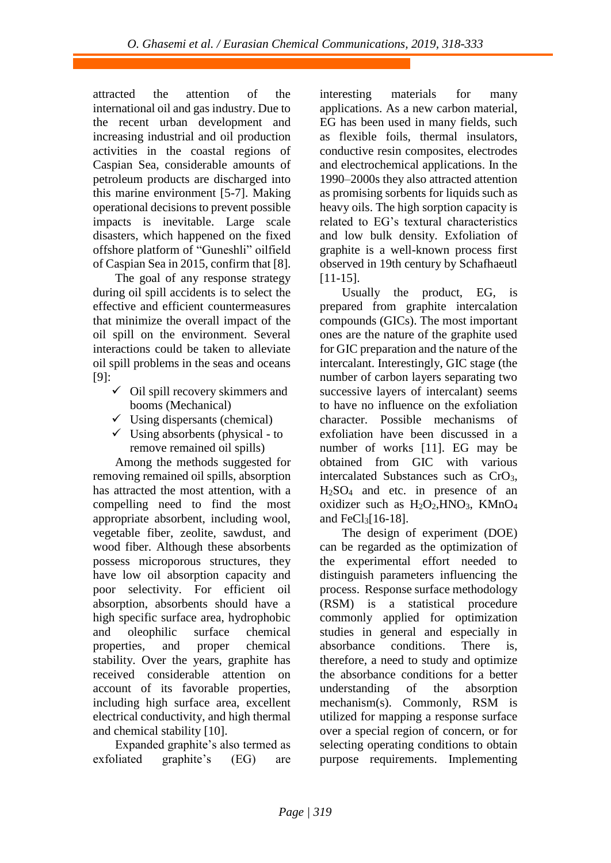attracted the attention of the international oil and gas industry. Due to the recent urban development and increasing industrial and oil production activities in the coastal regions of Caspian Sea, considerable amounts of petroleum products are discharged into this marine environment [5-7]. Making operational decisions to prevent possible impacts is inevitable. Large scale disasters, which happened on the fixed offshore platform of "Guneshli" oilfield of Caspian Sea in 2015, confirm that [8].

The goal of any response strategy during oil spill accidents is to select the effective and efficient countermeasures that minimize the overall impact of the oil spill on the environment. Several interactions could be taken to alleviate oil spill problems in the seas and oceans [9]:

- $\checkmark$  Oil spill recovery skimmers and booms (Mechanical)
- $\checkmark$  Using dispersants (chemical)
- $\checkmark$  Using absorbents (physical to remove remained oil spills)

Among the methods suggested for removing remained oil spills, absorption has attracted the most attention, with a compelling need to find the most appropriate absorbent, including wool, vegetable fiber, zeolite, sawdust, and wood fiber. Although these absorbents possess microporous structures, they have low oil absorption capacity and poor selectivity. For efficient oil absorption, absorbents should have a high specific surface area, hydrophobic and oleophilic surface chemical properties, and proper chemical stability. Over the years, graphite has received considerable attention on account of its favorable properties, including high surface area, excellent electrical conductivity, and high thermal and chemical stability [10].

Expanded graphite's also termed as exfoliated graphite's (EG) are interesting materials for many applications. As a new carbon material, EG has been used in many fields, such as flexible foils, thermal insulators, conductive resin composites, electrodes and electrochemical applications. In the 1990–2000s they also attracted attention as promising sorbents for liquids such as heavy oils. The high sorption capacity is related to EG's textural characteristics and low bulk density. Exfoliation of graphite is a well-known process first observed in 19th century by Schafhaeutl [11-15].

Usually the product, EG, is prepared from graphite intercalation compounds (GICs). The most important ones are the nature of the graphite used for GIC preparation and the nature of the intercalant. Interestingly, GIC stage (the number of carbon layers separating two successive layers of intercalant) seems to have no influence on the exfoliation character. Possible mechanisms of exfoliation have been discussed in a number of works [11]. EG may be obtained from GIC with various intercalated Substances such as CrO<sub>3</sub>,  $H<sub>2</sub>SO<sub>4</sub>$  and etc. in presence of an oxidizer such as  $H_2O_2$ , HNO<sub>3</sub>, KMnO<sub>4</sub> and FeCl3[16-18].

The design of experiment (DOE) can be regarded as the optimization of the experimental effort needed to distinguish parameters influencing the process. Response surface methodology (RSM) is a statistical procedure commonly applied for optimization studies in general and especially in absorbance conditions. There is, therefore, a need to study and optimize the absorbance conditions for a better understanding of the absorption mechanism(s). Commonly, RSM is utilized for mapping a response surface over a special region of concern, or for selecting operating conditions to obtain purpose requirements. Implementing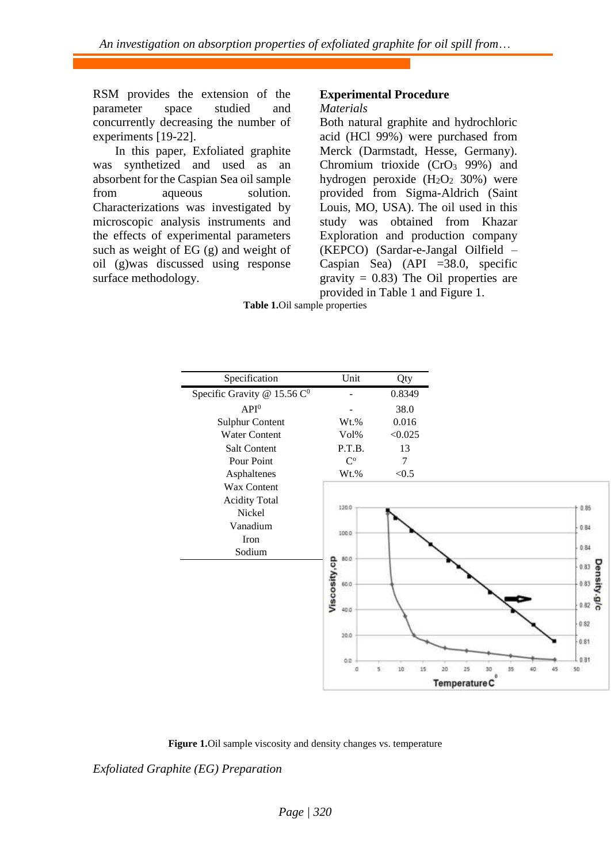RSM provides the extension of the parameter space studied and concurrently decreasing the number of experiments [19-22].

In this paper, Exfoliated graphite was synthetized and used as an absorbent for the Caspian Sea oil sample from aqueous solution. Characterizations was investigated by microscopic analysis instruments and the effects of experimental parameters such as weight of EG (g) and weight of oil (g)was discussed using response surface methodology.

#### **Experimental Procedure** *Materials*

Both natural graphite and hydrochloric acid (HCl 99%) were purchased from Merck (Darmstadt, Hesse, Germany). Chromium trioxide  $(CrO<sub>3</sub> 99%)$  and hydrogen peroxide  $(H_2O_2 30%)$  were provided from Sigma-Aldrich (Saint Louis, MO, USA). The oil used in this study was obtained from Khazar Exploration and production company (KEPCO) (Sardar-e-Jangal Oilfield – Caspian Sea) (API =38.0, specific gravity  $= 0.83$ ) The Oil properties are provided in Table 1 and Figure 1.

**Table 1.**Oil sample properties



#### **Figure 1.**Oil sample viscosity and density changes vs. temperature

*Exfoliated Graphite (EG) Preparation*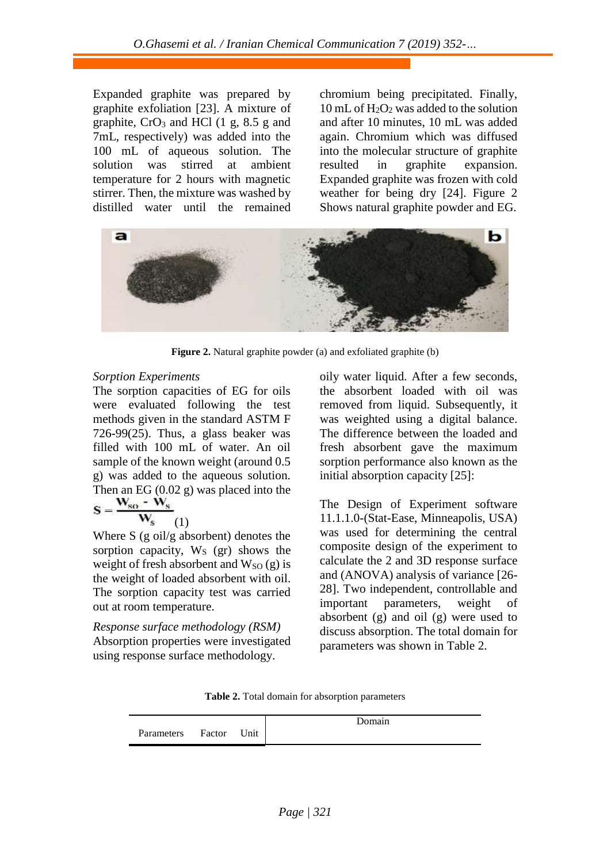Expanded graphite was prepared by graphite exfoliation [23]. A mixture of graphite,  $CrO<sub>3</sub>$  and HCl (1 g, 8.5 g and 7mL, respectively) was added into the 100 mL of aqueous solution. The solution was stirred at ambient temperature for 2 hours with magnetic stirrer. Then, the mixture was washed by distilled water until the remained

chromium being precipitated. Finally, 10 mL of  $H_2O_2$  was added to the solution and after 10 minutes, 10 mL was added again. Chromium which was diffused into the molecular structure of graphite resulted in graphite expansion. Expanded graphite was frozen with cold weather for being dry [24]. Figure 2 Shows natural graphite powder and EG.



**Figure 2.** Natural graphite powder (a) and exfoliated graphite (b)

# *Sorption Experiments*

The sorption capacities of EG for oils were evaluated following the test methods given in the standard ASTM F 726-99 $(25)$ . Thus, a glass beaker was filled with 100 mL of water. An oil sample of the known weight (around 0.5 g) was added to the aqueous solution. Then an EG (0.02 g) was placed into the<br>  $S = \frac{W_{\rm so} - W_{\rm s}}{W_{\rm s}}$  $\overline{\phantom{a}}(1)$ 

Where S (g oil/g absorbent) denotes the sorption capacity,  $W_S$  (gr) shows the weight of fresh absorbent and  $W_{SO}(g)$  is the weight of loaded absorbent with oil. The sorption capacity test was carried out at room temperature.

*Response surface methodology (RSM)* Absorption properties were investigated using response surface methodology.

oily water liquid. After a few seconds, the absorbent loaded with oil was removed from liquid. Subsequently, it was weighted using a digital balance. The difference between the loaded and fresh absorbent gave the maximum sorption performance also known as the initial absorption capacity [25]:

The Design of Experiment software 11.1.1.0-(Stat-Ease, Minneapolis, USA) was used for determining the central composite design of the experiment to calculate the 2 and 3D response surface and (ANOVA) analysis of variance [26- 28]. Two independent, controllable and important parameters, weight of absorbent (g) and oil (g) were used to discuss absorption. The total domain for parameters was shown in Table 2.

**Table 2.** Total domain for absorption parameters

|            |        |      | Domain |
|------------|--------|------|--------|
| Parameters | Factor | Unit |        |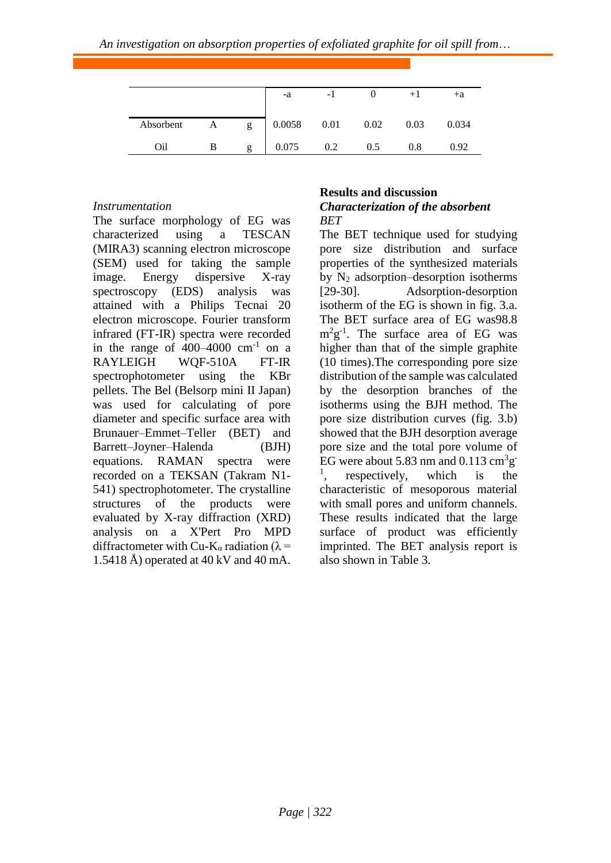|           |   |   | -a            | $\sim$ 1 |      |      | $+a$  |
|-----------|---|---|---------------|----------|------|------|-------|
|           |   |   |               |          |      |      |       |
| Absorbent |   | g | $0.0058$ 0.01 |          | 0.02 | 0.03 | 0.034 |
| Oil       | B | g | 0.075         | 0.2      | 0.5  | 0.8  | 0.92  |

#### *Instrumentation*

The surface morphology of EG was characterized using a TESCAN (MIRA3) scanning electron microscope (SEM) used for taking the sample image. Energy dispersive X-ray spectroscopy (EDS) analysis was attained with a Philips Tecnai 20 electron microscope. Fourier transform infrared (FT-IR) spectra were recorded in the range of  $400-4000$  cm<sup>-1</sup> on a RAYLEIGH WQF-510A FT-IR spectrophotometer using the KBr pellets. The Bel (Belsorp mini II Japan) was used for calculating of pore diameter and specific surface area with Brunauer–Emmet–Teller (BET) and Barrett–Joyner–Halenda (BJH) equations. RAMAN spectra were recorded on a TEKSAN (Takram N1- 541) spectrophotometer. The crystalline structures of the products were evaluated by X-ray diffraction (XRD) analysis on a X'Pert Pro MPD diffractometer with Cu-K<sub>α</sub> radiation  $(\lambda =$ 1.5418 Å) operated at 40 kV and 40 mA.

#### **Results and discussion** *Characterization of the absorbent BET*

The BET technique used for studying pore size distribution and surface properties of the synthesized materials by  $N_2$  adsorption–desorption isotherms [29-30]. Adsorption-desorption isotherm of the EG is shown in fig. 3.a. The BET surface area of EG was98.8  $m^2g^{-1}$ . The surface area of EG was higher than that of the simple graphite (10 times).The corresponding pore size distribution of the sample was calculated by the desorption branches of the isotherms using the BJH method. The pore size distribution curves (fig. 3.b) showed that the BJH desorption average pore size and the total pore volume of EG were about 5.83 nm and  $0.113 \text{ cm}^3 \text{g}$ 1 respectively, which is the characteristic of mesoporous material with small pores and uniform channels. These results indicated that the large surface of product was efficiently imprinted. The BET analysis report is also shown in Table 3.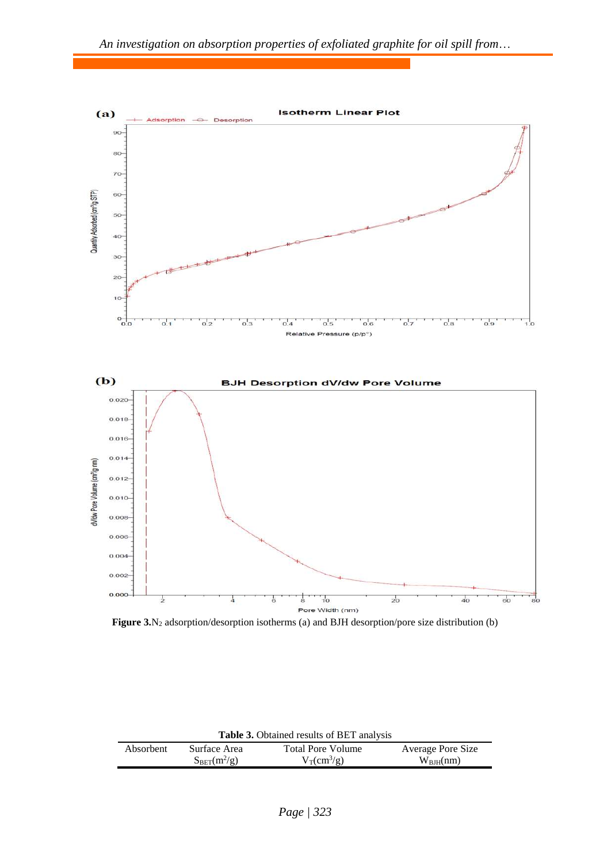

Figure 3.N<sub>2</sub> adsorption/desorption isotherms (a) and BJH desorption/pore size distribution (b)

| <b>Table 3.</b> Obtained results of BET analysis |                  |                            |                   |  |
|--------------------------------------------------|------------------|----------------------------|-------------------|--|
| <b>Absorbent</b>                                 | Surface Area     | <b>Total Pore Volume</b>   | Average Pore Size |  |
|                                                  | $S_{BET}(m^2/g)$ | $V_T$ (cm <sup>3</sup> /g) | $W_{\rm BH}(nm)$  |  |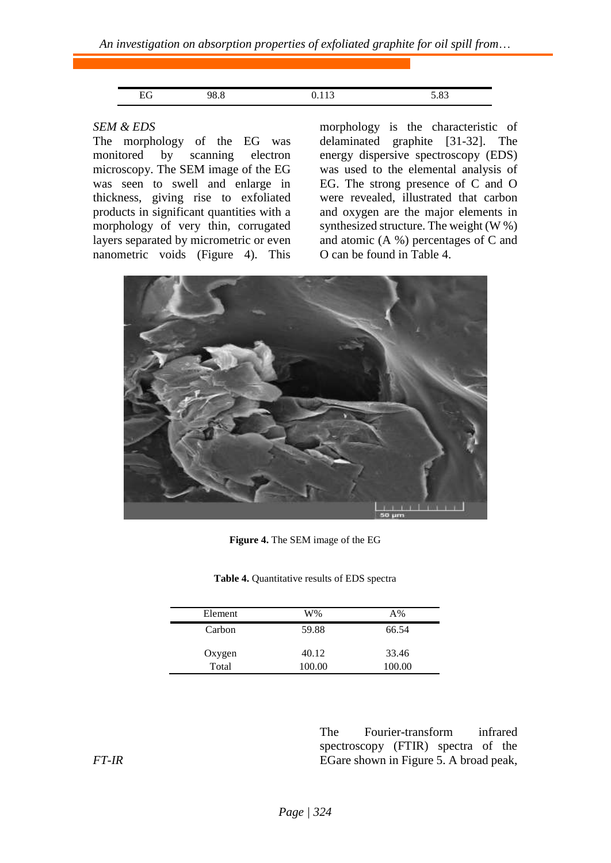

#### *SEM & EDS*

The morphology of the EG was monitored by scanning electron microscopy. The SEM image of the EG was seen to swell and enlarge in thickness, giving rise to exfoliated products in significant quantities with a morphology of very thin, corrugated layers separated by micrometric or even nanometric voids (Figure 4). This morphology is the characteristic of delaminated graphite [31-32]. The energy dispersive spectroscopy (EDS) was used to the elemental analysis of EG. The strong presence of C and O were revealed, illustrated that carbon and oxygen are the major elements in synthesized structure. The weight (W %) and atomic (A %) percentages of C and O can be found in Table 4.



**Figure 4.** The SEM image of the EG

**Table 4.** Quantitative results of EDS spectra

| Element | W%     | $A\%$  |
|---------|--------|--------|
| Carbon  | 59.88  | 66.54  |
| Oxygen  | 40.12  | 33.46  |
| Total   | 100.00 | 100.00 |

The Fourier-transform infrared spectroscopy (FTIR) spectra of the EGare shown in Figure 5. A broad peak,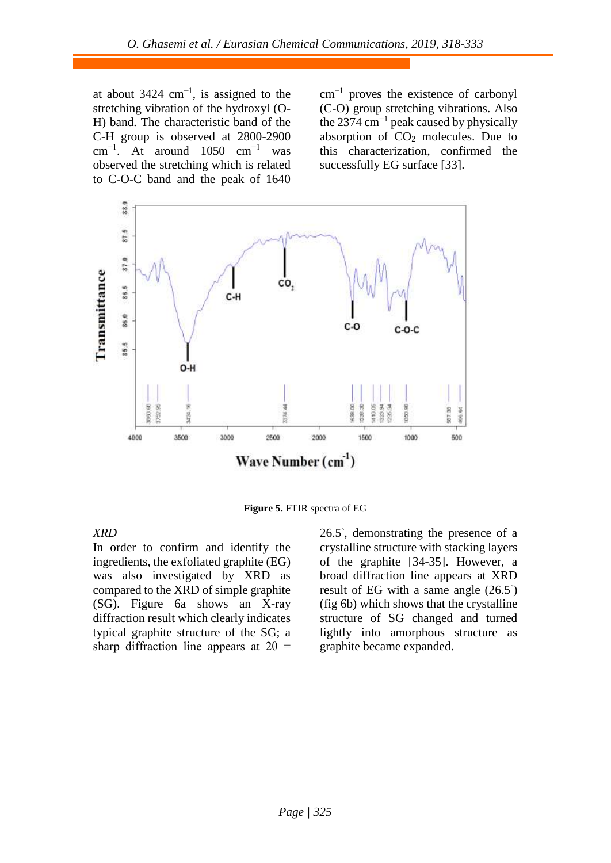at about 3424  $cm^{-1}$ , is assigned to the stretching vibration of the hydroxyl (O-H) band. The characteristic band of the C-H group is observed at 2800-2900 cm<sup>-1</sup>. At around 1050 cm<sup>-1</sup> was observed the stretching which is related to C-O-C band and the peak of 1640 cm−1 proves the existence of carbonyl (C-O) group stretching vibrations. Also the 2374 cm−1 peak caused by physically absorption of CO<sup>2</sup> molecules. Due to this characterization, confirmed the successfully EG surface [33].



**Figure 5.** FTIR spectra of EG

*XRD*

In order to confirm and identify the ingredients, the exfoliated graphite (EG) was also investigated by XRD as compared to the XRD of simple graphite (SG). Figure 6a shows an X-ray diffraction result which clearly indicates typical graphite structure of the SG; a sharp diffraction line appears at  $2\theta =$ 

26.5◦ , demonstrating the presence of a crystalline structure with stacking layers of the graphite [34-35]. However, a broad diffraction line appears at XRD result of EG with a same angle  $(26.5°)$ (fig 6b) which shows that the crystalline structure of SG changed and turned lightly into amorphous structure as graphite became expanded.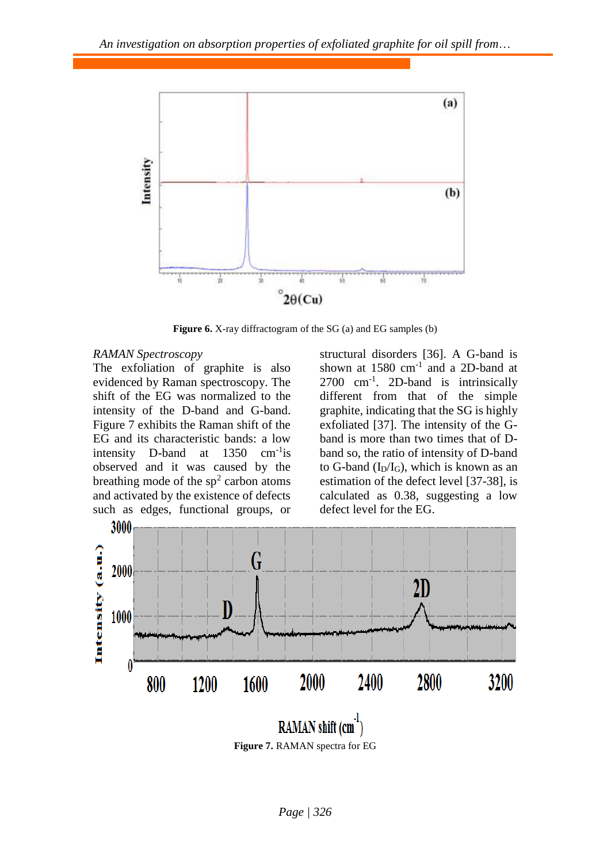

**Figure 6.** X-ray diffractogram of the SG (a) and EG samples (b)

#### *RAMAN Spectroscopy*

The exfoliation of graphite is also evidenced by Raman spectroscopy. The shift of the EG was normalized to the intensity of the D-band and G-band. Figure 7 exhibits the Raman shift of the EG and its characteristic bands: a low intensity D-band at 1350 cm<sup>-1</sup>is observed and it was caused by the breathing mode of the  $sp<sup>2</sup>$  carbon atoms and activated by the existence of defects such as edges, functional groups, or

structural disorders [36]. A G-band is shown at  $1580 \text{ cm}^{-1}$  and a 2D-band at 2700 cm-1 . 2D-band is intrinsically different from that of the simple graphite, indicating that the SG is highly exfoliated [37]. The intensity of the Gband is more than two times that of Dband so, the ratio of intensity of D-band to G-band  $(I_D/I_G)$ , which is known as an estimation of the defect level [37-38], is calculated as 0.38, suggesting a low defect level for the EG.



**Figure 7.** RAMAN spectra for EG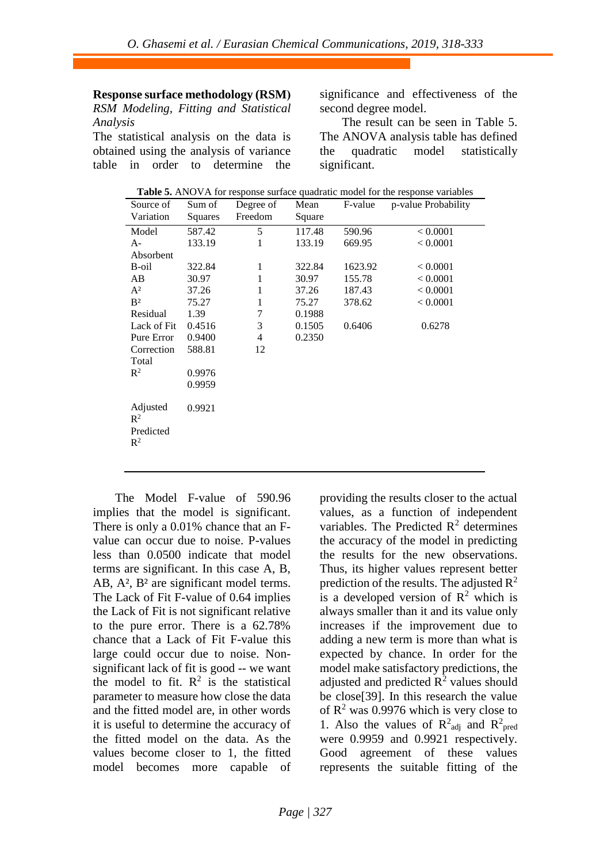# **Response surface methodology (RSM)**

*RSM Modeling, Fitting and Statistical Analysis*

The statistical analysis on the data is obtained using the analysis of variance table in order to determine the significance and effectiveness of the second degree model.

The result can be seen in Table 5. The ANOVA analysis table has defined the quadratic model statistically significant.

| Source of                                        | Sum of  | Degree of | Mean   | F-value | <b>Table 3:</b> ATTO VA TOI Tesponse surface quadratic model for the response variables<br>p-value Probability |
|--------------------------------------------------|---------|-----------|--------|---------|----------------------------------------------------------------------------------------------------------------|
| Variation                                        | Squares | Freedom   | Square |         |                                                                                                                |
| Model                                            | 587.42  | 5         | 117.48 | 590.96  | < 0.0001                                                                                                       |
| A-                                               | 133.19  | 1         | 133.19 | 669.95  | < 0.0001                                                                                                       |
| Absorbent                                        |         |           |        |         |                                                                                                                |
| B-oil                                            | 322.84  | 1         | 322.84 | 1623.92 | < 0.0001                                                                                                       |
| AB                                               | 30.97   | 1         | 30.97  | 155.78  | < 0.0001                                                                                                       |
| $A^2$                                            | 37.26   | 1         | 37.26  | 187.43  | < 0.0001                                                                                                       |
| B <sup>2</sup>                                   | 75.27   | 1         | 75.27  | 378.62  | < 0.0001                                                                                                       |
| Residual                                         | 1.39    | 7         | 0.1988 |         |                                                                                                                |
| Lack of Fit                                      | 0.4516  | 3         | 0.1505 | 0.6406  | 0.6278                                                                                                         |
| Pure Error                                       | 0.9400  | 4         | 0.2350 |         |                                                                                                                |
| Correction                                       | 588.81  | 12        |        |         |                                                                                                                |
| Total                                            |         |           |        |         |                                                                                                                |
| $\mathbb{R}^2$                                   | 0.9976  |           |        |         |                                                                                                                |
|                                                  | 0.9959  |           |        |         |                                                                                                                |
| Adjusted<br>$\mathbb{R}^2$<br>Predicted<br>$R^2$ | 0.9921  |           |        |         |                                                                                                                |

**Table 5.** ANOVA for response surface quadratic model for the response variables

The Model F-value of 590.96 implies that the model is significant. There is only a 0.01% chance that an Fvalue can occur due to noise. P-values less than 0.0500 indicate that model terms are significant. In this case A, B, AB, A<sup>2</sup>, B<sup>2</sup> are significant model terms. The Lack of Fit F-value of 0.64 implies the Lack of Fit is not significant relative to the pure error. There is a 62.78% chance that a Lack of Fit F-value this large could occur due to noise. Nonsignificant lack of fit is good -- we want the model to fit.  $R^2$  is the statistical parameter to measure how close the data and the fitted model are, in other words it is useful to determine the accuracy of the fitted model on the data. As the values become closer to 1, the fitted model becomes more capable of

providing the results closer to the actual values, as a function of independent variables. The Predicted  $R^2$  determines the accuracy of the model in predicting the results for the new observations. Thus, its higher values represent better prediction of the results. The adjusted  $\mathbb{R}^2$ is a developed version of  $\mathbb{R}^2$  which is always smaller than it and its value only increases if the improvement due to adding a new term is more than what is expected by chance. In order for the model make satisfactory predictions, the adjusted and predicted  $\mathbb{R}^2$  values should be close[39]. In this research the value of  $\mathbb{R}^2$  was 0.9976 which is very close to 1. Also the values of  $R^2$ <sub>adj</sub> and  $R^2$ <sub>pred</sub> were 0.9959 and 0.9921 respectively. Good agreement of these values represents the suitable fitting of the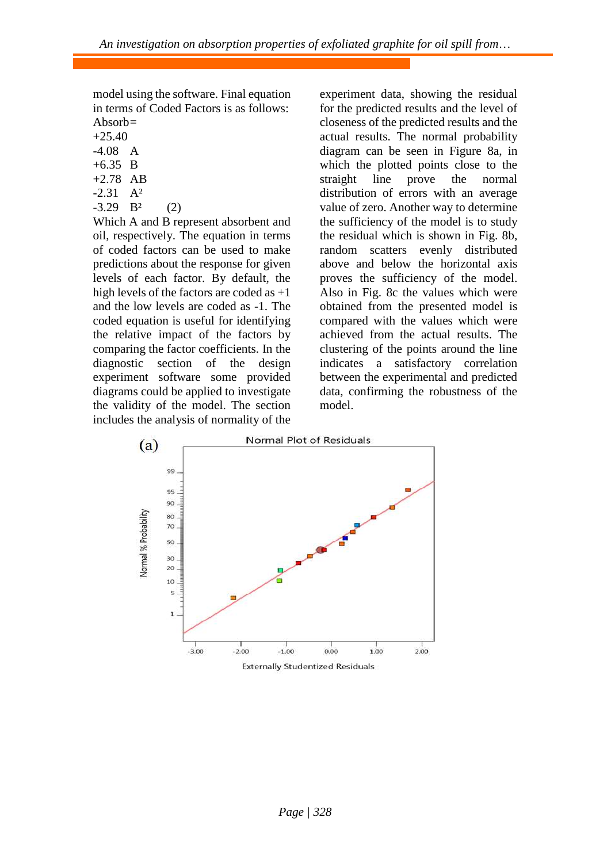model using the software. Final equation in terms of Coded Factors is as follows:  $Absorb=$ 

 $+25.40$ 

-4.08 A

 $+6.35$  B

- +2.78 AB
- $-2.31$   $A^2$
- $-3.29$  B<sup>2</sup> (2)

Which A and B represent absorbent and oil, respectively. The equation in terms of coded factors can be used to make predictions about the response for given levels of each factor. By default, the high levels of the factors are coded as +1 and the low levels are coded as -1. The coded equation is useful for identifying the relative impact of the factors by comparing the factor coefficients. In the diagnostic section of the design experiment software some provided diagrams could be applied to investigate the validity of the model. The section includes the analysis of normality of the experiment data, showing the residual for the predicted results and the level of closeness of the predicted results and the actual results. The normal probability diagram can be seen in Figure 8a, in which the plotted points close to the straight line prove the normal distribution of errors with an average value of zero. Another way to determine the sufficiency of the model is to study the residual which is shown in Fig. 8b, random scatters evenly distributed above and below the horizontal axis proves the sufficiency of the model. Also in Fig. 8c the values which were obtained from the presented model is compared with the values which were achieved from the actual results. The clustering of the points around the line indicates a satisfactory correlation between the experimental and predicted data, confirming the robustness of the model.

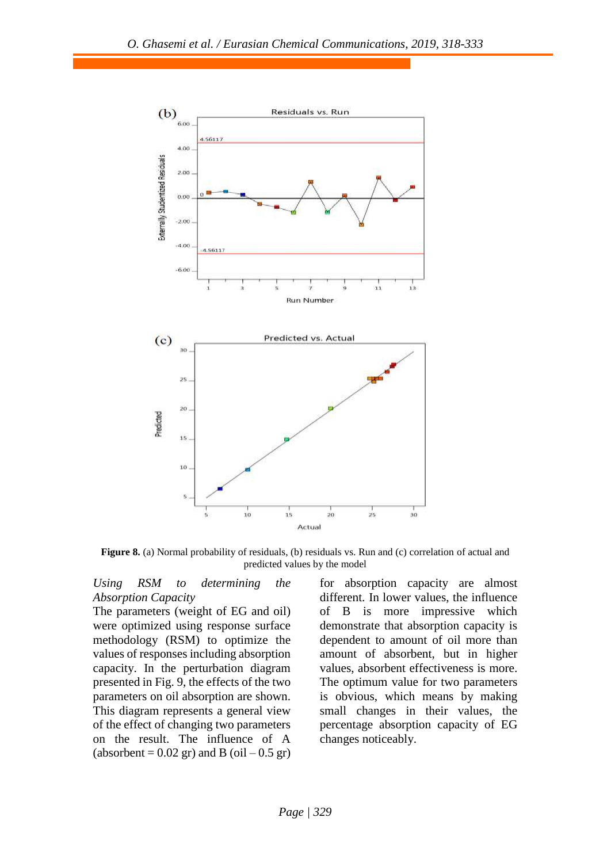

**Figure 8.** (a) Normal probability of residuals, (b) residuals vs. Run and (c) correlation of actual and predicted values by the model

*Using RSM to determining the Absorption Capacity*

The parameters (weight of EG and oil) were optimized using response surface methodology (RSM) to optimize the values of responses including absorption capacity. In the perturbation diagram presented in Fig. 9, the effects of the two parameters on oil absorption are shown. This diagram represents a general view of the effect of changing two parameters on the result. The influence of A (absorbent =  $0.02$  gr) and B (oil  $-0.5$  gr) for absorption capacity are almost different. In lower values, the influence of B is more impressive which demonstrate that absorption capacity is dependent to amount of oil more than amount of absorbent, but in higher values, absorbent effectiveness is more. The optimum value for two parameters is obvious, which means by making small changes in their values, the percentage absorption capacity of EG changes noticeably.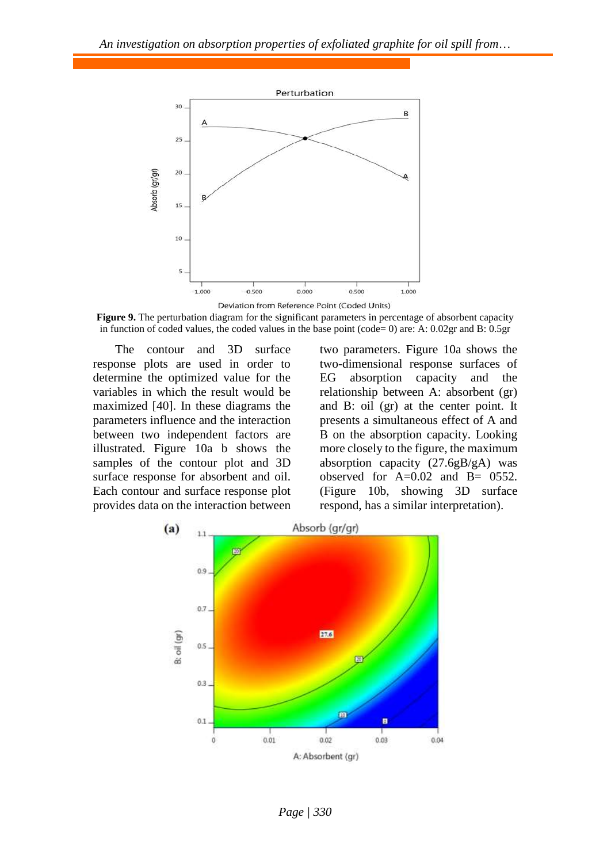

**Figure 9.** The perturbation diagram for the significant parameters in percentage of absorbent capacity in function of coded values, the coded values in the base point (code= 0) are: A: 0.02gr and B: 0.5gr

The contour and 3D surface response plots are used in order to determine the optimized value for the variables in which the result would be maximized [40]. In these diagrams the parameters influence and the interaction between two independent factors are illustrated. Figure 10a b shows the samples of the contour plot and 3D surface response for absorbent and oil. Each contour and surface response plot provides data on the interaction between two parameters. Figure 10a shows the two-dimensional response surfaces of EG absorption capacity and the relationship between A: absorbent (gr) and B: oil (gr) at the center point. It presents a simultaneous effect of A and B on the absorption capacity. Looking more closely to the figure, the maximum absorption capacity (27.6gB/gA) was observed for  $A=0.02$  and  $B= 0.0552$ . (Figure 10b, showing 3D surface respond, has a similar interpretation).



*Page | 330*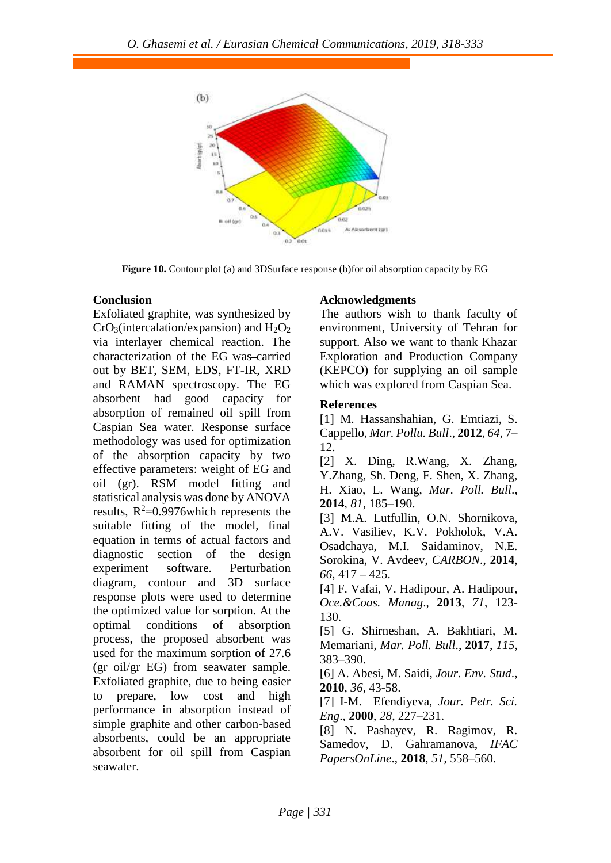

**Figure 10.** Contour plot (a) and 3DSurface response (b)for oil absorption capacity by EG

# **Conclusion**

Exfoliated graphite, was synthesized by  $CrO<sub>3</sub>(intercalation/expansion)$  and  $H<sub>2</sub>O<sub>2</sub>$ via interlayer chemical reaction. The characterization of the EG was-carried out by BET, SEM, EDS, FT-IR, XRD and RAMAN spectroscopy. The EG absorbent had good capacity for absorption of remained oil spill from Caspian Sea water. Response surface methodology was used for optimization of the absorption capacity by two effective parameters: weight of EG and oil (gr). RSM model fitting and statistical analysis was done by ANOVA results,  $R^2$ =0.9976which represents the suitable fitting of the model, final equation in terms of actual factors and diagnostic section of the design experiment software. Perturbation diagram, contour and 3D surface response plots were used to determine the optimized value for sorption. At the optimal conditions of absorption process, the proposed absorbent was used for the maximum sorption of 27.6 (gr oil/gr EG) from seawater sample. Exfoliated graphite, due to being easier to prepare, low cost and high performance in absorption instead of simple graphite and other carbon-based absorbents, could be an appropriate absorbent for oil spill from Caspian seawater.

# **Acknowledgments**

The authors wish to thank faculty of environment, University of Tehran for support. Also we want to thank Khazar Exploration and Production Company (KEPCO) for supplying an oil sample which was explored from Caspian Sea.

# **References**

[1] M. Hassanshahian, G. Emtiazi, S. Cappello, *Mar. Pollu. Bull*., **2012**, *64*, 7– 12.

[2] X. Ding, R.Wang, X. Zhang, Y.Zhang, Sh. Deng, F. Shen, X. Zhang, H. Xiao, L. Wang, *Mar. Poll. Bull*., **2014**, *81*, 185–190.

[3] M.A. Lutfullin, O.N. Shornikova, A.V. Vasiliev, K.V. Pokholok, V.A. Osadchaya, M.I. Saidaminov, N.E. Sorokina, V. Avdeev, *CARBON*., **2014**, *66*, 417 – 425.

[4] F. Vafai, V. Hadipour, A. Hadipour, *Oce.&Coas. Manag*., **2013**, *71*, 123- 130.

[5] G. Shirneshan, A. Bakhtiari, M. Memariani, *Mar. Poll. Bull*., **2017**, *115*, 383–390.

[6] A. Abesi, M. Saidi, *Jour. Env. Stud*., **2010**, *36*, 43-58.

[7] I-M. Efendiyeva, *Jour. Petr. Sci. Eng*., **2000**, *28*, 227–231.

[8] N. Pashayev, R. Ragimov, R. Samedov, D. Gahramanova, *IFAC PapersOnLine*., **2018**, *51*, 558–560.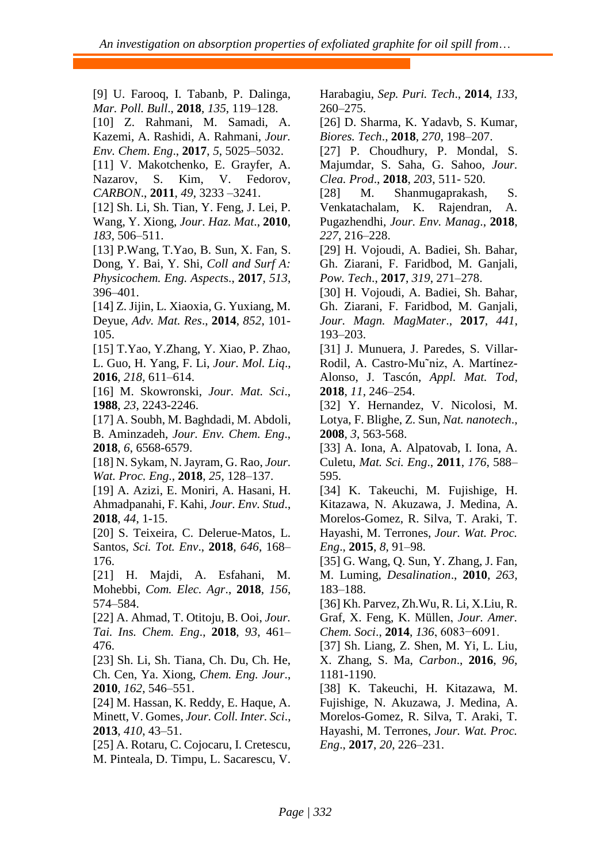[9] U. Farooq, I. Tabanb, P. Dalinga, *Mar. Poll. Bull*., **2018**, *135*, 119–128. [10] Z. Rahmani, M. Samadi, A. Kazemi, A. Rashidi, A. Rahmani, *Jour. Env. Chem*. *Eng*., **2017**, *5*, 5025–5032. [11] V. Makotchenko, E. Grayfer, A. Nazarov, S. Kim, V. Fedorov, *CARBON*., **2011**, *49*, 3233 –3241. [12] Sh. Li, Sh. Tian, Y. Feng, J. Lei, P. Wang, Y. Xiong, *Jour. Haz. Mat*., **2010**, *183*, 506–511. [13] P.Wang, T.Yao, B. Sun, X. Fan, S. Dong, Y. Bai, Y. Shi, *Coll and Surf A: Physicochem. Eng. Aspect*s., **2017**, *513*, 396–401. [14] Z. Jijin, L. Xiaoxia, G. Yuxiang, M. Deyue, *Adv. Mat. Res*., **2014**, *852*, 101- 105. [15] T.Yao, Y.Zhang, Y. Xiao, P. Zhao, L. Guo, H. Yang, F. Li, *Jour. Mol. Liq*., **2016**, *218*, 611–614. [16] M. Skowronski, *Jour. Mat. Sci*., **1988**, *23*, 2243-2246. [17] A. Soubh, M. Baghdadi, M. Abdoli, B. Aminzadeh, *Jour. Env. Chem. Eng*., **2018**, *6*, 6568-6579. [18] N. Sykam, N. Jayram, G. Rao, *Jour. Wat. Proc. Eng*., **2018**, *25*, 128–137. [19] A. Azizi, E. Moniri, A. Hasani, H. Ahmadpanahi, F. Kahi, *Jour. Env. Stud*., **2018**, *44*, 1-15. [20] S. Teixeira, C. Delerue-Matos, L. Santos, *Sci. Tot. Env*., **2018**, *646*, 168– 176. [21] H. Majdi, A. Esfahani, M. Mohebbi, *Com. Elec. Agr*., **2018**, *156*, 574–584. [22] A. Ahmad, T. Otitoju, B. Ooi, *Jour. Tai. Ins. Chem. Eng*., **2018**, *93*, 461– 476. [23] Sh. Li, Sh. Tiana, Ch. Du, Ch. He, Ch. Cen, Ya. Xiong, *Chem. Eng. Jour*., **2010**, *162*, 546–551. [24] M. Hassan, K. Reddy, E. Haque, A. Minett, V. Gomes, *Jour. Coll. Inter. Sci*., **2013**, *410*, 43–51. [25] A. Rotaru, C. Cojocaru, I. Cretescu, M. Pinteala, D. Timpu, L. Sacarescu, V.

Harabagiu, *Sep. Puri. Tech*., **2014**, *133*, 260–275.

[26] D. Sharma, K. Yadavb, S. Kumar, *Biores. Tech*., **2018**, *270*, 198–207.

[27] P. Choudhury, P. Mondal, S. Majumdar, S. Saha, G. Sahoo, *Jour. Clea. Prod*., **2018**, *203*, 511- 520.

[28] M. Shanmugaprakash, S. Venkatachalam, K. Rajendran, A. Pugazhendhi, *Jour. Env. Manag*., **2018**, *227*, 216–228.

[29] H. Vojoudi, A. Badiei, Sh. Bahar, Gh. Ziarani, F. Faridbod, M. Ganjali, *Pow. Tech*., **2017**, *319*, 271–278.

[30] H. Vojoudi, A. Badiei, Sh. Bahar, Gh. Ziarani, F. Faridbod, M. Ganjali, *Jour. Magn. MagMater*., **2017**, *441*, 193–203.

[31] J. Munuera, J. Paredes, S. Villar-Rodil, A. Castro-Mu˜niz, A. Martínez-Alonso, J. Tascón, *Appl. Mat. Tod*, **2018**, *11*, 246–254.

[32] Y. Hernandez, V. Nicolosi, M. Lotya, F. Blighe, Z. Sun, *Nat. nanotech*., **2008**, *3*, 563-568.

[33] A. Iona, A. Alpatovab, I. Iona, A. Culetu, *Mat. Sci. Eng*., **2011**, *176*, 588– 595.

[34] K. Takeuchi, M. Fujishige, H. Kitazawa, N. Akuzawa, J. Medina, A. Morelos-Gomez, R. Silva, T. Araki, T. Hayashi, M. Terrones, *Jour. Wat. Proc. Eng*., **2015**, *8*, 91–98.

[35] G. Wang, Q. Sun, Y. Zhang, J. Fan, M. Luming, *Desalination*., **2010**, *263*, 183–188.

[36] Kh. Parvez, Zh.Wu, R. Li, X.Liu, R. Graf, X. Feng, K. Müllen, *Jour. Amer. Chem. Soci*., **2014**, *136*, 6083−6091.

[37] Sh. Liang, Z. Shen, M. Yi, L. Liu, X. Zhang, S. Ma, *Carbon*., **2016**, *96*, 1181-1190.

[38] K. Takeuchi, H. Kitazawa, M. Fujishige, N. Akuzawa, J. Medina, A. Morelos-Gomez, R. Silva, T. Araki, T. Hayashi, M. Terrones, *Jour. Wat. Proc. Eng*., **2017**, *20*, 226–231.